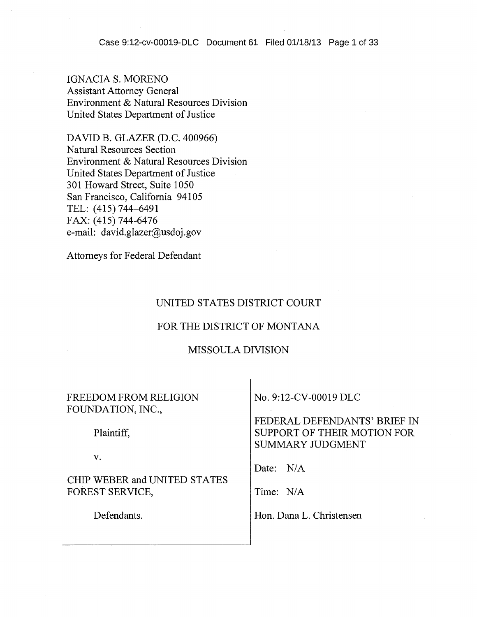IGNACIA S. MORENO Assistant Attorney General Environment & Natural Resources Division United States Department of Justice

DAVID B. GLAZER (D.C. 400966) Natural Resources Section Environment & Natural Resources Division United States Department of Justice 301 Howard Street, Suite 1050 San Francisco, California 94105 TEL: (415) 744-6491 FAX: (415) 744-6476 e-mail: david.glazer@usdoj.gov

Attorneys for Federal Defendant

#### UNITED STATES DISTRICT COURT

#### FOR THE DISTRICT OF MONTANA

## MISSOULA DIVISION

FREEDOM FROM RELIGION FOUNDATION, INC.,

Plaintiff,

v.

CHIP WEBER and UNITED STATES FOREST SERVICE,

Defendants.

No. 9:12-CV-00019 DLC

FEDERAL DEFENDANTS' BRIEF IN SUPPORT OF THEIR MOTION FOR SUMMARY JUDGMENT

Date: N/A

Time: N/A

Hon. Dana L. Christensen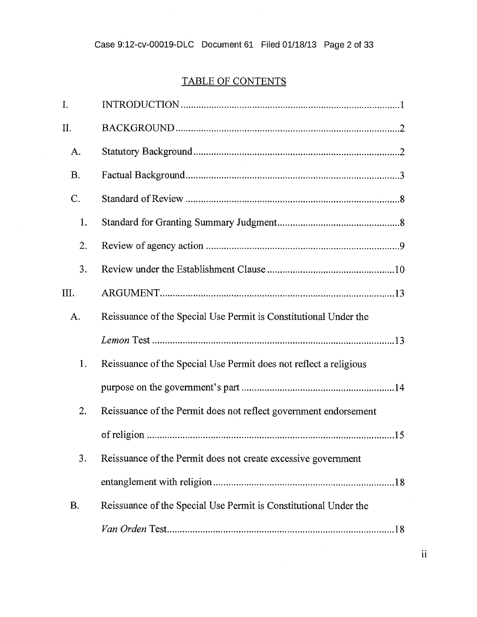# TABLE OF CONTENTS

| I.        |                                                                   |
|-----------|-------------------------------------------------------------------|
| II.       |                                                                   |
| A.        |                                                                   |
| <b>B.</b> |                                                                   |
| C.        |                                                                   |
| 1.        |                                                                   |
| 2.        |                                                                   |
| 3.        |                                                                   |
| III.      |                                                                   |
| A.        | Reissuance of the Special Use Permit is Constitutional Under the  |
|           |                                                                   |
| 1.        | Reissuance of the Special Use Permit does not reflect a religious |
|           |                                                                   |
| 2.        | Reissuance of the Permit does not reflect government endorsement  |
|           |                                                                   |
| 3.        | Reissuance of the Permit does not create excessive government     |
|           |                                                                   |
| <b>B.</b> | Reissuance of the Special Use Permit is Constitutional Under the  |
|           |                                                                   |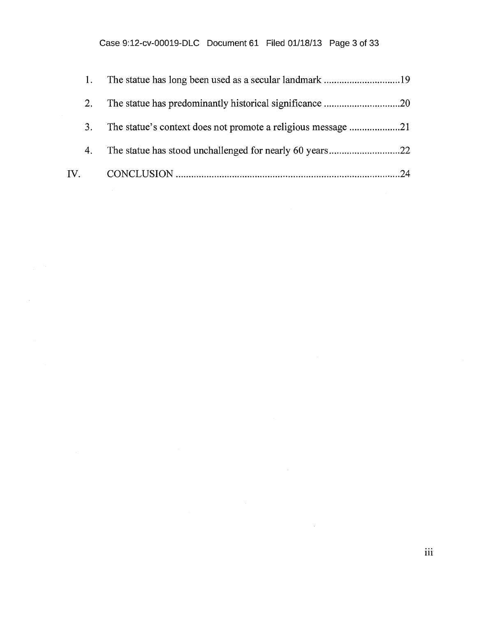| 2. |  |
|----|--|
| 3. |  |
| 4. |  |
|    |  |

 $\sim$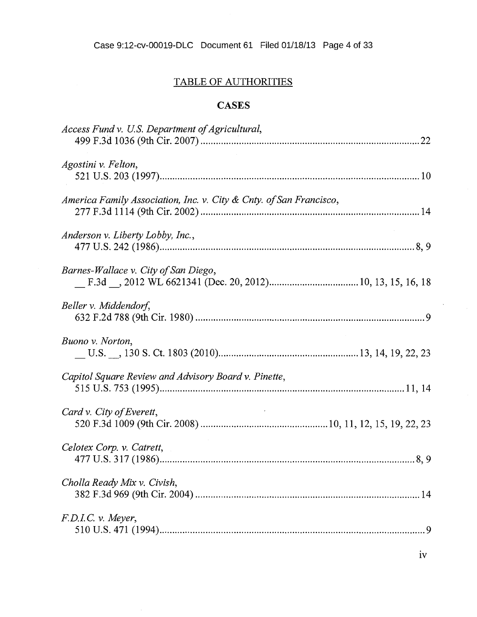## TABLE OF AUTHORITIES

## **CASES**

| Access Fund v. U.S. Department of Agricultural,                    |
|--------------------------------------------------------------------|
| Agostini v. Felton,                                                |
| America Family Association, Inc. v. City & Cnty. of San Francisco, |
| Anderson v. Liberty Lobby, Inc.,                                   |
| Barnes-Wallace v. City of San Diego,                               |
| Beller v. Middendorf,                                              |
| Buono v. Norton,                                                   |
| Capitol Square Review and Advisory Board v. Pinette,               |
| Card v. City of Everett,                                           |
| Celotex Corp. v. Catrett,                                          |
| Cholla Ready Mix v. Civish,                                        |
| F.D.I.C. v. Meyer,                                                 |
|                                                                    |

 $\label{eq:2} \frac{1}{\sqrt{2}}\sum_{i=1}^n\frac{1}{\sqrt{2\pi}}\sum_{i=1}^n\frac{1}{\sqrt{2\pi}}\sum_{i=1}^n\frac{1}{\sqrt{2\pi}}\sum_{i=1}^n\frac{1}{\sqrt{2\pi}}\sum_{i=1}^n\frac{1}{\sqrt{2\pi}}\sum_{i=1}^n\frac{1}{\sqrt{2\pi}}\sum_{i=1}^n\frac{1}{\sqrt{2\pi}}\sum_{i=1}^n\frac{1}{\sqrt{2\pi}}\sum_{i=1}^n\frac{1}{\sqrt{2\pi}}\sum_{i=1}^n\frac{1}{$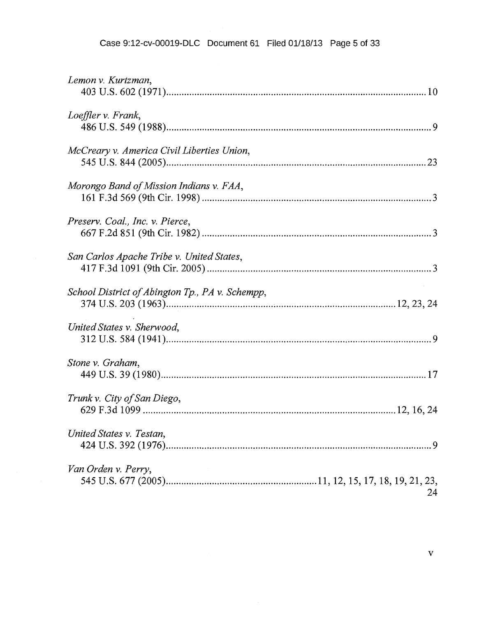#### Case 9:12-cv-00019-DLC Document 61 Filed 01/18/13 Page 5 of 33

| Lemon v. Kurtzman,                              |
|-------------------------------------------------|
| Loeffler v. Frank,                              |
| McCreary v. America Civil Liberties Union,      |
| Morongo Band of Mission Indians v. FAA,         |
| Preserv. Coal., Inc. v. Pierce,                 |
| San Carlos Apache Tribe v. United States,       |
| School District of Abington Tp., PA v. Schempp, |
| United States v. Sherwood,                      |
| Stone v. Graham,                                |
| Trunk v. City of San Diego,                     |
| United States v. Testan,                        |
| Van Orden v. Perry,<br>24                       |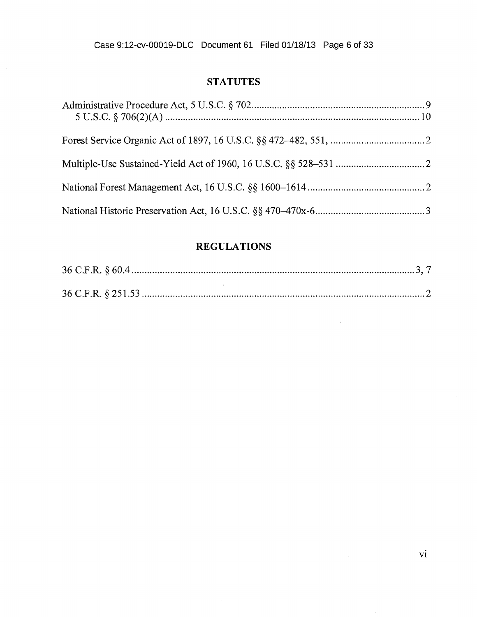## **STATUTES**

## **REGULATIONS**

 $\sim 10^7$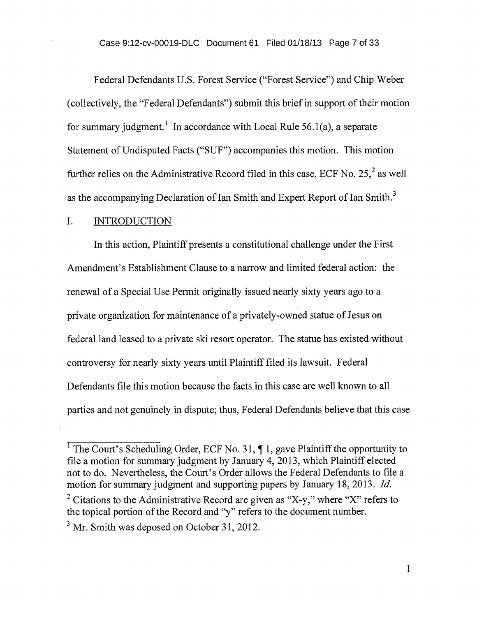Federal Defendants U.S. Forest Service ("Forest Service") and Chip Weber (collectively, the "Federal Defendants") submit this brief in support of their motion for summary judgment.<sup>1</sup> In accordance with Local Rule 56.1(a), a separate Statement of Undisputed Facts ("SUF") accompanies this motion. This motion further relies on the Administrative Record filed in this case, ECF No. 25,<sup>2</sup> as well as the accompanying Declaration of Ian Smith and Expert Report of Ian Smith. <sup>3</sup>

### I. INTRODUCTION

In this action, Plaintiff presents a constitutional challenge under the First Amendment's Establishment Clause to a narrow and limited federal action: the renewal of a Special Use Permit originally issued nearly sixty years ago to a private organization for maintenance of a privately-owned statue of Jesus on federal land leased to a private ski resort operator. The statue has existed without controversy for nearly sixty years until Plaintiff filed its lawsuit. Federal Defendants file this motion because the facts in this case are well known to all parties and not genuinely in dispute; thus, Federal Defendants believe that this case

<sup>&</sup>lt;sup>1</sup> The Court's Scheduling Order, ECF No. 31,  $\P$  1, gave Plaintiff the opportunity to file a motion for summary judgment by January 4, 2013, which Plaintiff elected not to do. Nevertheless, the Court's Order allows the Federal Defendants to file a motion for summary judgment and supporting papers by January 18, 2013. *Id.*  <sup>2</sup> Citations to the Administrative Record are given as "X-y," where "X" refers to the topical portion of the Record and "y" refers to the document number.  $3$  Mr. Smith was deposed on October 31, 2012.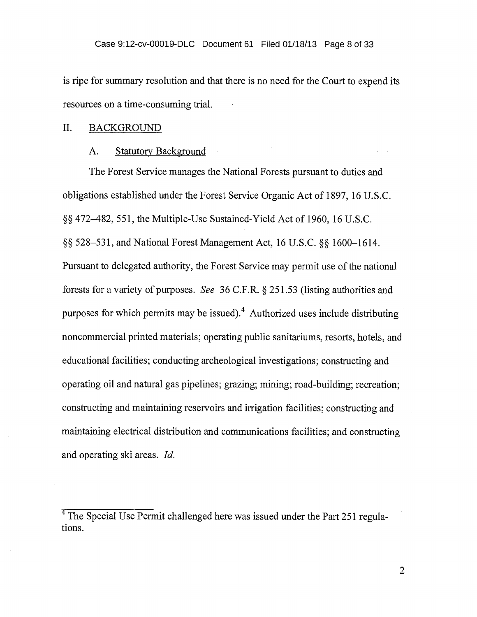is ripe for summary resolution and that there is no need for the Court to expend its resources on a time-consuming trial.

#### II. BACKGROUND

#### A. Statutory Background

The Forest Service manages the National Forests pursuant to duties and obligations established under the Forest Service Organic Act of 1897, 16 U.S.C. §§ 472-482, 551, the Multiple-Use Sustained-Yield Act of 1960, 16 U.S.C. §§ 528-531, and National Forest Management Act, 16 U.S.C. §§ 1600-1614. Pursuant to delegated authority, the Forest Service may permit use of the national forests for a variety of purposes. *See* 36 C.F.R. § 251.53 (listing authorities and purposes for which permits may be issued).<sup>4</sup> Authorized uses include distributing noncommercial printed materials; operating public sanitariums, resorts, hotels, and educational facilities; conducting archeological investigations; constructing and operating oil and natural gas pipelines; grazing; mining; road-building; recreation; constructing and maintaining reservoirs and irrigation facilities; constructing and maintaining electrical distribution and communications facilities; and constructing and operating ski areas. *Id.* 

<sup>&</sup>lt;sup>4</sup>The Special Use Permit challenged here was issued under the Part 251 regulations.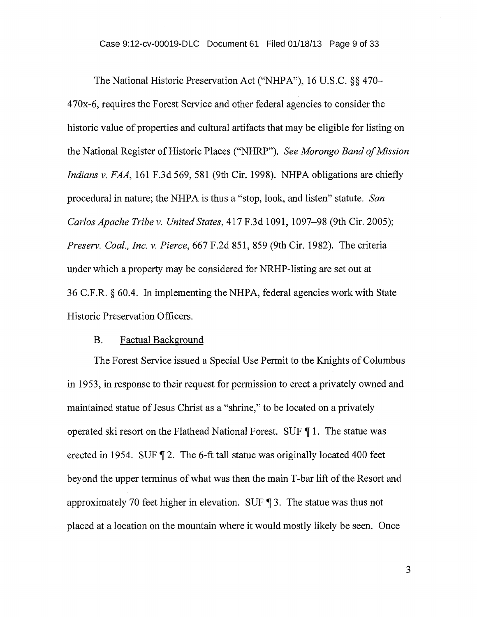#### Case 9:12-cv-00019-DLC Document 61 Filed 01/18/13 Page 9 of 33

The National Historic Preservation Act ("NHPA"), 16 U.S.C. §§ 470- 470x-6, requires the Forest Service and other federal agencies to consider the historic value of properties and cultural artifacts that may be eligible for listing on the National Register of Historic Places ("NHRP"). *See Morongo Band of Mission Indians v. FAA,* 161 F.3d 569, 581 (9th Cir. 1998). NHPA obligations are chiefly procedural in nature; the NHPA is thus a "stop, look, and listen" statute. *San Carlos Apache Tribe v. United States,* 417 F.3d 1091, 1097-98 (9th Cir. 2005); *Preserv. Coal., Inc. v. Pierce,* 667 F.2d 851, 859 (9th Cir. 1982). The criteria under which a property may be considered for NRHP-listing are set out at 36 C.F.R. § 60.4. In implementing the NHPA, federal agencies work with State Historic Preservation Officers.

### B. Factual Background

The Forest Service issued a Special Use Permit to the Knights of Columbus in 1953, in response to their request for permission to erect a privately owned and maintained statue of Jesus Christ as a "shrine," to be located on a privately operated ski resort on the Flathead National Forest. SUF  $\P$  1. The statue was erected in 1954. SUF ¶ 2. The 6-ft tall statue was originally located 400 feet beyond the upper terminus of what was then the main T-bar lift of the Resort and approximately 70 feet higher in elevation. SUF ¶ 3. The statue was thus not placed at a location on the mountain where it would mostly likely be seen. Once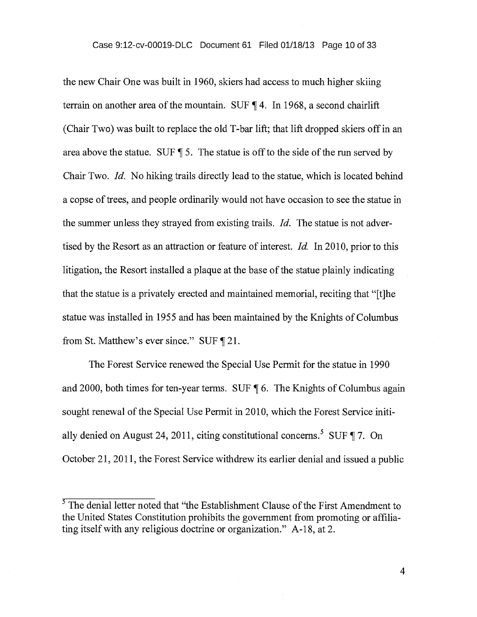the new Chair One was built in 1960, skiers had access to much higher skiing terrain on another area of the mountain. SUF ¶ 4. In 1968, a second chairlift (Chair Two) was built to replace the old T-bar lift; that lift dropped skiers off in an area above the statue. SUF ¶ 5. The statue is off to the side of the run served by Chair Two. *Id.* No hiking trails directly lead to the statue, which is located behind a copse of trees, and people ordinarily would not have occasion to see the statue in the summer unless they strayed from existing trails. *Id.* The statue is not advertised by the Resort as an attraction or feature of interest. *Id.* In 2010, prior to this litigation, the Resort installed a plaque at the base of the statue plainly indicating that the statue is a privately erected and maintained memorial, reciting that "[t]he statue was installed in 1955 and has been maintained by the Knights of Columbus from St. Matthew's ever since." SUF ¶ 21.

The Forest Service renewed the Special Use Permit for the statue in 1990 and 2000, both times for ten-year terms. SUF ¶ 6. The Knights of Columbus again sought renewal of the Special Use Permit in 2010, which the Forest Service initially denied on August 24, 2011, citing constitutional concerns.<sup>5</sup> SUF  $\P$  7. On October 21, 2011, the Forest Service withdrew its earlier denial and issued a public

 $\overline{4}$ 

 $<sup>5</sup>$  The denial letter noted that "the Establishment Clause of the First Amendment to</sup> the United States Constitution prohibits the government from promoting or affiliating itself with any religious doctrine or organization." A-18, at 2.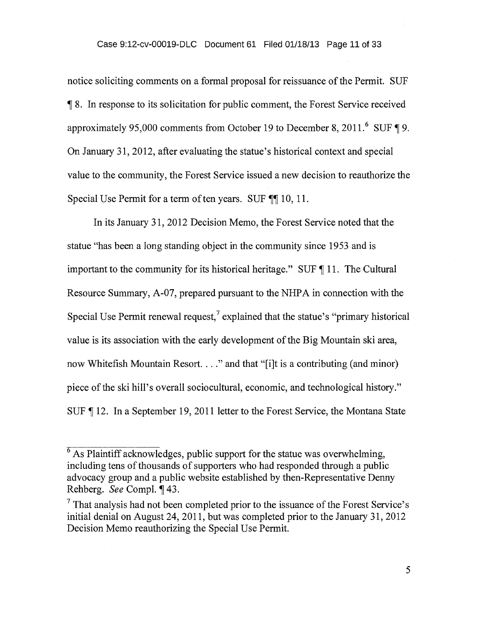notice soliciting comments on a formal proposal for reissuance of the Permit. SUF 118. In response to its solicitation for public comment, the Forest Service received approximately 95,000 comments from October 19 to December 8, 2011.<sup>6</sup> SUF  $\P$  9. On January 31, 2012, after evaluating the statue's historical context and special value to the community, the Forest Service issued a new decision to reauthorize the Special Use Permit for a term of ten years. SUF ¶¶ 10, 11.

In its January 31, 2012 Decision Memo, the Forest Service noted that the statue "has been a long standing object in the community since 1953 and is important to the community for its historical heritage." SUF ¶ 11. The Cultural Resource Summary, A-07, prepared pursuant to the NHPA in connection with the Special Use Permit renewal request,<sup>7</sup> explained that the statue's "primary historical" value is its association with the early development of the Big Mountain ski area, now Whitefish Mountain Resort. . . ." and that "[i]t is a contributing (and minor) piece of the ski hill's overall sociocultural, economic, and technological history." SUF ¶ 12. In a September 19, 2011 letter to the Forest Service, the Montana State

 $6$  As Plaintiff acknowledges, public support for the statue was overwhelming, including tens of thousands of supporters who had responded through a public advocacy group and a public website established by then-Representative Denny Rehberg. *See* Compl. 143.

 $<sup>7</sup>$  That analysis had not been completed prior to the issuance of the Forest Service's</sup> initial denial on August 24, 2011, but was completed prior to the January 31, 2012 Decision Memo reauthorizing the Special Use Permit.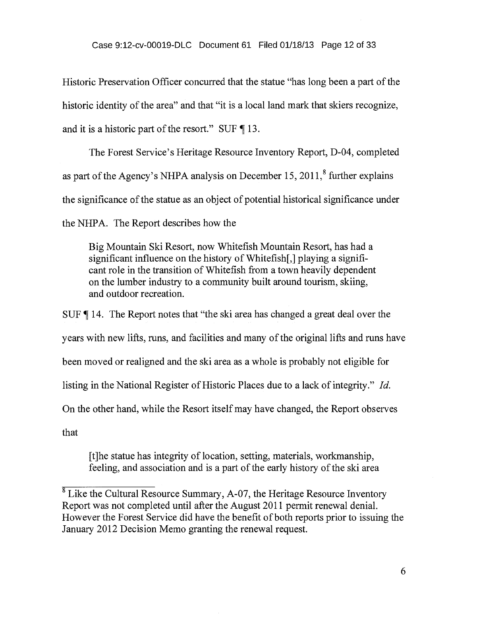Historic Preservation Officer concurred that the statue "has long been a part of the historic identity of the area" and that "it is a local land mark that skiers recognize, and it is a historic part of the resort." SUF ¶ 13.

The Forest Service's Heritage Resource Inventory Report, D-04, completed as part of the Agency's NHPA analysis on December 15, 2011, $^8$  further explains the significance of the statue as an object of potential historical significance under the NHPA. The Report describes how the

Big Mountain Ski Resort, now Whitefish Mountain Resort, has had a significant influence on the history of Whitefish[,] playing a significant role in the transition of Whitefish from a town heavily dependent on the lumber industry to a community built around tourism, skiing, and outdoor recreation.

SUF 14. The Report notes that "the ski area has changed a great deal over the years with new lifts, runs, and facilities and many of the original lifts and runs have been moved or realigned and the ski area as a whole is probably not eligible for listing in the National Register of Historic Places due to a lack of integrity." *Id.*  On the other hand, while the Resort itself may have changed, the Report observes that

[t]he statue has integrity of location, setting, materials, workmanship, feeling, and association and is a part of the early history of the ski area

 $8$  Like the Cultural Resource Summary, A-07, the Heritage Resource Inventory Report was not completed until after the August 2011 permit renewal denial. However the Forest Service did have the benefit of both reports prior to issuing the January 2012 Decision Memo granting the renewal request.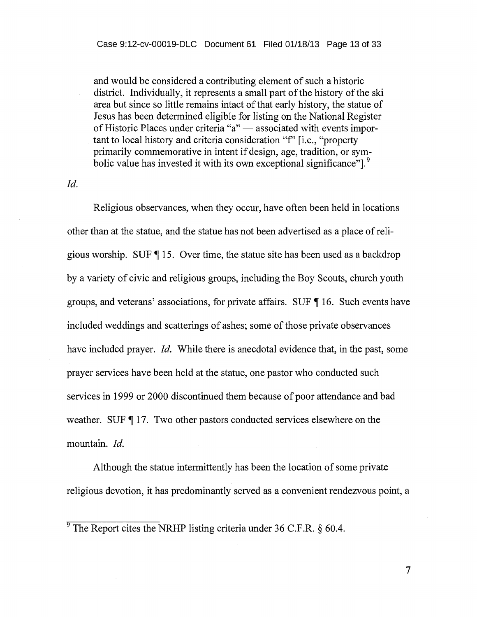and would be considered a contributing element of such a historic district. Individually, it represents a small part of the history of the ski area but since so little remains intact of that early history, the statue of Jesus has been determined eligible for listing on the National Register of Historic Places under criteria "a" — associated with events important to local history and criteria consideration "f' [i.e., "property primarily commemorative in intent if design, age, tradition, or symbolic value has invested it with its own exceptional significance"].<sup>9</sup>

#### *Id.*

Religious observances, when they occur, have often been held in locations other than at the statue, and the statue has not been advertised as a place of religious worship. SUF ¶ 15. Over time, the statue site has been used as a backdrop by a variety of civic and religious groups, including the Boy Scouts, church youth groups, and veterans' associations, for private affairs. SUF ¶ 16. Such events have included weddings and scatterings of ashes; some of those private observances have included prayer. *Id.* While there is anecdotal evidence that, in the past, some prayer services have been held at the statue, one pastor who conducted such services in 1999 or 2000 discontinued them because of poor attendance and bad weather. SUF ¶ 17. Two other pastors conducted services elsewhere on the mountain. *Id.* 

Although the statue intermittently has been the location of some private religious devotion, it has predominantly served as a convenient rendezvous point, a

 $\frac{9}{9}$ The Report cites the NRHP listing criteria under 36 C.F.R. § 60.4.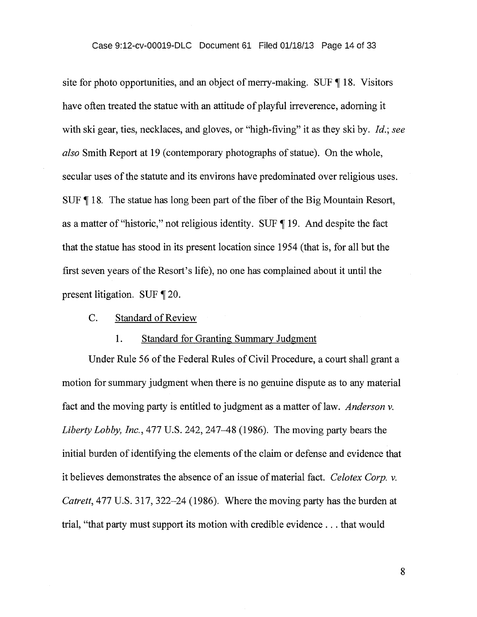site for photo opportunities, and an object of merry-making. SUF ¶ 18. Visitors have often treated the statue with an attitude of playful irreverence, adorning it with ski gear, ties, necklaces, and gloves, or "high-fiving" it as they ski by. *Id.; see also* Smith Report at 19 (contemporary photographs of statue). On the whole, secular uses of the statute and its environs have predominated over religious uses. SUF ¶ 18. The statue has long been part of the fiber of the Big Mountain Resort, as a matter of "historic," not religious identity. SUF ¶ 19. And despite the fact that the statue has stood in its present location since 1954 (that is, for all but the first seven years of the Resort's life), no one has complained about it until the present litigation. SUF ¶ 20.

## C. Standard of Review

#### 1. Standard for Granting Summary Judgment

Under Rule 56 of the Federal Rules of Civil Procedure, a court shall grant a motion for summary judgment when there is no genuine dispute as to any material fact and the moving party is entitled to judgment as a matter of law. *Anderson v. Liberty Lobby, Inc.,* 477 U.S. 242, 247-48 (1986). The moving party bears the initial burden of identifying the elements of the claim or defense and evidence that it believes demonstrates the absence of an issue of material fact. *Celotex Corp. v. Catrett,* 477 U.S. 317, 322-24 (1986). Where the moving party has the burden at trial, "that party must support its motion with credible evidence . . . that would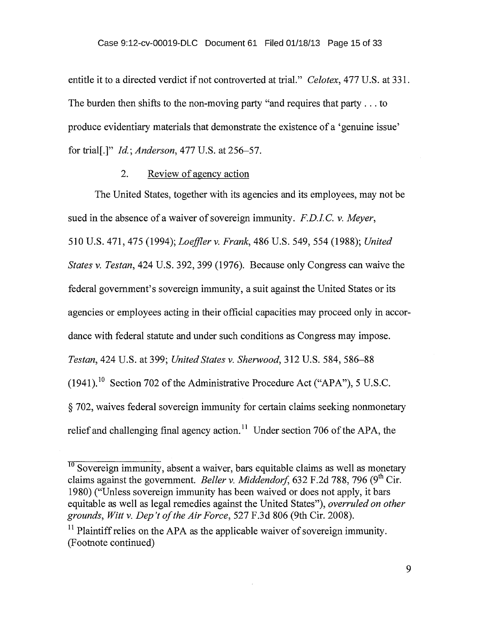entitle it to a directed verdict if not controverted at trial." *Celotex,* 477 U.S. at 331. The burden then shifts to the non-moving party "and requires that party . . . to produce evidentiary materials that demonstrate the existence of a 'genuine issue' for trial[.]" *Id.; Anderson,* 477 U.S. at 256-57.

## 2. Review of agency action

The United States, together with its agencies and its employees, may not be sued in the absence of a waiver of sovereign immunity. *F.D.I.C. v. Meyer*, 510 U.S. 471, 475 (1994); *Loeffler v. Frank,* 486 U.S. 549, 554 (1988); *United States v. Testan,* 424 U.S. 392, 399 (1976). Because only Congress can waive the federal government's sovereign immunity, a suit against the United States or its agencies or employees acting in their official capacities may proceed only in accordance with federal statute and under such conditions as Congress may impose. *Testan,* 424 U.S. at 399; *United States v. Sherwood,* 312 U.S. 584, 586-88  $(1941)$ .<sup>10</sup> Section 702 of the Administrative Procedure Act ("APA"), 5 U.S.C. § 702, waives federal sovereign immunity for certain claims seeking nonmonetary relief and challenging final agency action.<sup>11</sup> Under section 706 of the APA, the

 $\frac{10}{10}$  Sovereign immunity, absent a waiver, bars equitable claims as well as monetary claims against the government. *Beller v. Middendorf*, 632 F.2d 788, 796 (9<sup>th</sup> Cir. 1980) ("Unless sovereign immunity has been waived or does not apply, it bars equitable as well as legal remedies against the United States"), *overruled on other grounds, Witt v. Dep't of the Air Force,* 527 F.3d 806 (9th Cir. 2008).

<sup>&</sup>lt;sup>11</sup> Plaintiff relies on the APA as the applicable waiver of sovereign immunity. (Footnote continued)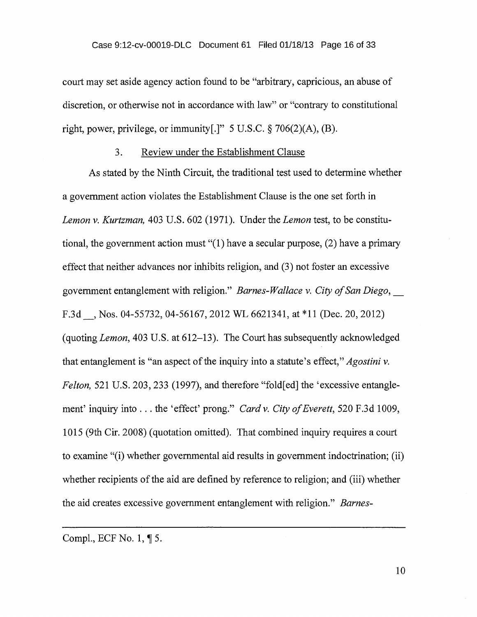court may set aside agency action found to be "arbitrary, capricious, an abuse of discretion, or otherwise not in accordance with law" or "contrary to constitutional right, power, privilege, or immunity[.]"  $5 \text{ U.S.C.}$  § 706(2)(A), (B).

#### 3. Review under the Establishment Clause

As stated by the Ninth Circuit, the traditional test used to determine whether a government action violates the Establishment Clause is the one set forth in *Lemon v. Kurtzman,* 403 U.S. 602 (1971). Under the *Lemon* test, to be constitutional, the government action must "(1) have a secular purpose, (2) have a primary effect that neither advances nor inhibits religion, and (3) not foster an excessive government entanglement with religion." *Barnes-Wallace v. City of San Diego,*  F.3d , Nos. 04-55732, 04-56167, 2012 WL 6621341, at \*11 (Dec. 20, 2012) (quoting *Lemon,* 403 U.S. at 612-13). The Court has subsequently acknowledged that entanglement is "an aspect of the inquiry into a statute's effect," *Agostini v. Felton,* 521 U.S. 203, 233 (1997), and therefore "fold[ed] the 'excessive entanglement' inquiry into . . . the 'effect' prong." *Card v. City of Everett,* 520 F.3d 1009, 1015 (9th Cir. 2008) (quotation omitted). That combined inquiry requires a court to examine "(i) whether governmental aid results in government indoctrination; (ii) whether recipients of the aid are defined by reference to religion; and (iii) whether the aid creates excessive government entanglement with religion." *Barnes-*

Compl., ECF No. 1,  $\P$  5.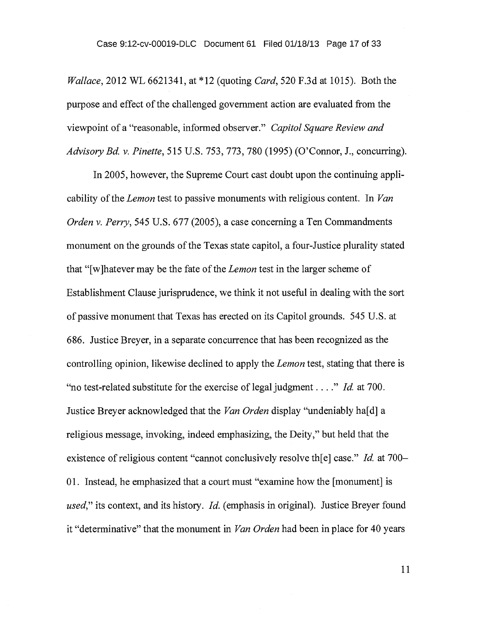*Wallace,* 2012 WL 6621341, at \*12 (quoting *Card,* 520 F.3d at 1015). Both the purpose and effect of the challenged government action are evaluated from the viewpoint of a "reasonable, informed observer." *Capitol Square Review and Advisory Bd. v. Pinette, 515* U.S. 753, 773, 780 (1995) (O'Connor, J., concurring).

In 2005, however, the Supreme Court cast doubt upon the continuing applicability of the *Lemon* test to passive monuments with religious content. In *Van Orden v. Perry,* 545 U.S. 677 (2005), a case concerning a Ten Commandments monument on the grounds of the Texas state capitol, a four-Justice plurality stated that "[w]hatever may be the fate of the *Lemon* test in the larger scheme of Establishment Clause jurisprudence, we think it not useful in dealing with the sort of passive monument that Texas has erected on its Capitol grounds. 545 U.S. at 686. Justice Breyer, in a separate concurrence that has been recognized as the controlling opinion, likewise declined to apply the *Lemon* test, stating that there is "no test-related substitute for the exercise of legal judgment . . . ." *Id.* at 700. Justice Breyer acknowledged that the *Van Orden* display "undeniably ha[d] a religious message, invoking, indeed emphasizing, the Deity," but held that the existence of religious content "cannot conclusively resolve th[e] case." *Id.* at 700— 01. Instead, he emphasized that a court must "examine how the [monument] is *used,"* its context, and its history. *Id.* (emphasis in original). Justice Breyer found it "determinative" that the monument in *Van Orden* had been in place for 40 years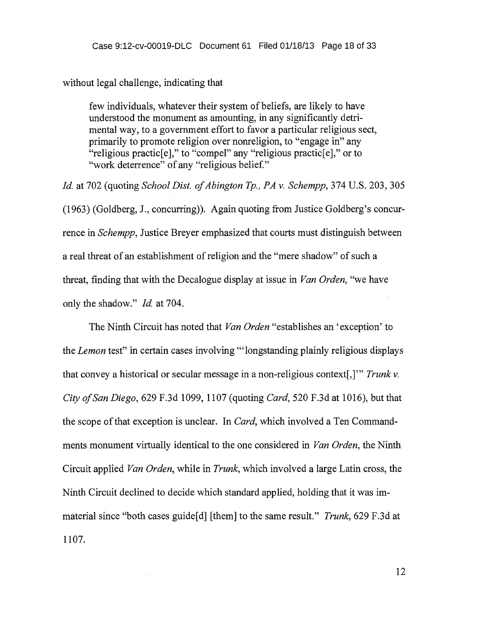without legal challenge, indicating that

few individuals, whatever their system of beliefs, are likely to have understood the monument as amounting, in any significantly detrimental way, to a government effort to favor a particular religious sect, primarily to promote religion over nonreligion, to "engage in" any "religious practic[e]," to "compel" any "religious practic[e]," or to "work deterrence" of any "religious belief."

*Id.* at 702 (quoting *School Dist. of Abington Tp., PA v. Schempp,* 374 U.S. 203, 305 (1963) (Goldberg, J., concurring)). Again quoting from Justice Goldberg's concurrence in *Schempp,* Justice Breyer emphasized that courts must distinguish between a real threat of an establishment of religion and the "mere shadow" of such a threat, finding that with the Decalogue display at issue in *Van Orden,* "we have only the shadow." *Id.* at 704.

The Ninth Circuit has noted that *Van Orden* "establishes an 'exception' to the *Lemon* test" in certain cases involving "'longstanding plainly religious displays that convey a historical or secular message in a non-religious context[,]'" Trunk v. *City of San Diego,* 629 F.3d 1099, 1107 (quoting *Card,* 520 F.3d at 1016), but that the scope of that exception is unclear. In *Card,* which involved a Ten Commandments monument virtually identical to the one considered in *Van Orden,* the Ninth Circuit applied *Van Orden,* while in *Trunk,* which involved a large Latin cross, the Ninth Circuit declined to decide which standard applied, holding that it was immaterial since "both cases guide[d] [them] to the same result." *Trunk,* 629 F.3d at 1107.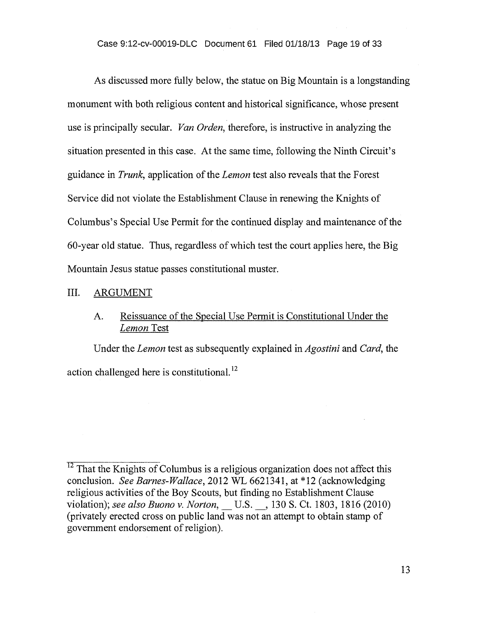## Case 9:12-cv-00019-DLC Document 61 Filed 01/18/13 Page 19 of 33

As discussed more fully below, the statue on Big Mountain is a longstanding monument with both religious content and historical significance, whose present use is principally secular. *Van Orden,* therefore, is instructive in analyzing the situation presented in this case. At the same time, following the Ninth Circuit's guidance in *Trunk,* application of the *Lemon* test also reveals that the Forest Service did not violate the Establishment Clause in renewing the Knights of Columbus's Special Use Permit for the continued display and maintenance of the 60-year old statue. Thus, regardless of which test the court applies here, the Big Mountain Jesus statue passes constitutional muster.

## III. ARGUMENT

## A. Reissuance of the Special Use Permit is Constitutional Under the *Lemon* Test

Under the *Lemon* test as subsequently explained in *Agostini* and *Card,* the action challenged here is constitutional. <sup>12</sup>

 $12$  That the Knights of Columbus is a religious organization does not affect this conclusion. *See Barnes-Wallace,* 2012 WL 6621341, at \*12 (acknowledging religious activities of the Boy Scouts, but finding no Establishment Clause violation); see also Buono v. Norton, U.S. , 130 S. Ct. 1803, 1816 (2010) (privately erected cross on public land was not an attempt to obtain stamp of government endorsement of religion).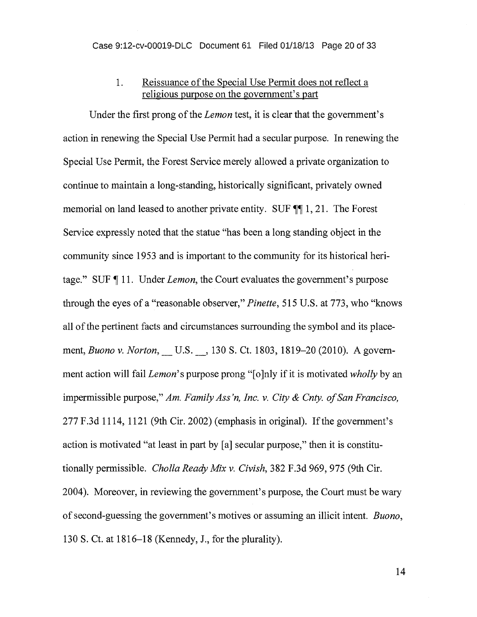## 1. Reissuance of the Special Use Permit does not reflect a religious purpose on the government's part

Under the first prong of the *Lemon test,* it is clear that the government's action in renewing the Special Use Permit had a secular purpose. In renewing the Special Use Permit, the Forest Service merely allowed a private organization to continue to maintain a long-standing, historically significant, privately owned memorial on land leased to another private entity. SUF  $\P$  1, 21. The Forest Service expressly noted that the statue "has been a long standing object in the community since 1953 and is important to the community for its historical heritage." SUF ¶ 11. Under *Lemon,* the Court evaluates the government's purpose through the eyes of a "reasonable observer," *Pinette,* 515 U.S. at 773, who "knows all of the pertinent facts and circumstances surrounding the symbol and its placement, *Buono v. Norton*, U.S. , 130 S. Ct. 1803, 1819–20 (2010). A government action will fail *Lemon's* purpose prong "[o]nly if it is motivated *wholly* by an impermissible purpose," *Am. Family Ass 'n, Inc. v. City & Cnty. of San Francisco,*  277 F.3d 1114, 1121 (9th Cir. 2002) (emphasis in original). If the government's action is motivated "at least in part by [a] secular purpose," then it is constitutionally permissible. *Cholla Ready Mix v. Civish,* 382 F.3d 969, 975 (9th Cir. 2004). Moreover, in reviewing the government's purpose, the Court must be wary of second-guessing the government's motives or assuming an illicit intent. *Buono,*  130 S. Ct. at 1816-18 (Kennedy, J., for the plurality).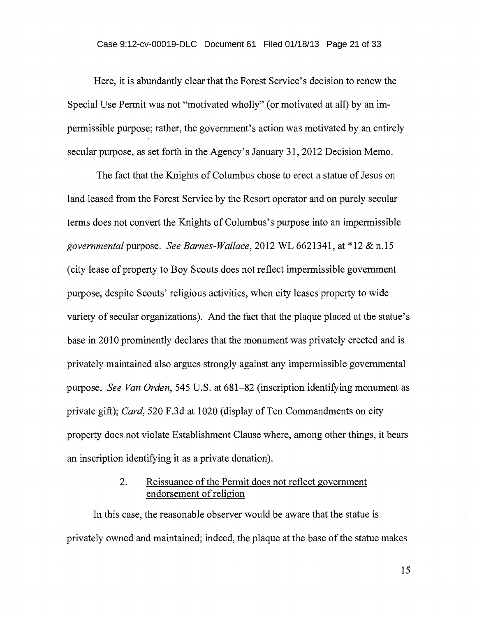Here, it is abundantly clear that the Forest Service's decision to renew the Special Use Permit was not "motivated wholly" (or motivated at all) by an impermissible purpose; rather, the government's action was motivated by an entirely secular purpose, as set forth in the Agency's January 31, 2012 Decision Memo.

The fact that the Knights of Columbus chose to erect a statue of Jesus on land leased from the Forest Service by the Resort operator and on purely secular terms does not convert the Knights of Columbus's purpose into an impermissible *governmental* purpose. *See Barnes-Wallace,* 2012 WL 6621341, at \*12 & n.15 (city lease of property to Boy Scouts does not reflect impermissible government purpose, despite Scouts' religious activities, when city leases property to wide variety of secular organizations). And the fact that the plaque placed at the statue's base in 2010 prominently declares that the monument was privately erected and is privately maintained also argues strongly against any impermissible governmental purpose. *See Van Orden,* 545 U.S. at 681-82 (inscription identifying monument as private gift); *Card,* 520 F.3d at 1020 (display of Ten Commandments on city property does not violate Establishment Clause where, among other things, it bears an inscription identifying it as a private donation).

## 2. Reissuance of the Permit does not reflect government endorsement of religion

In this case, the reasonable observer would be aware that the statue is privately owned and maintained; indeed, the plaque at the base of the statue makes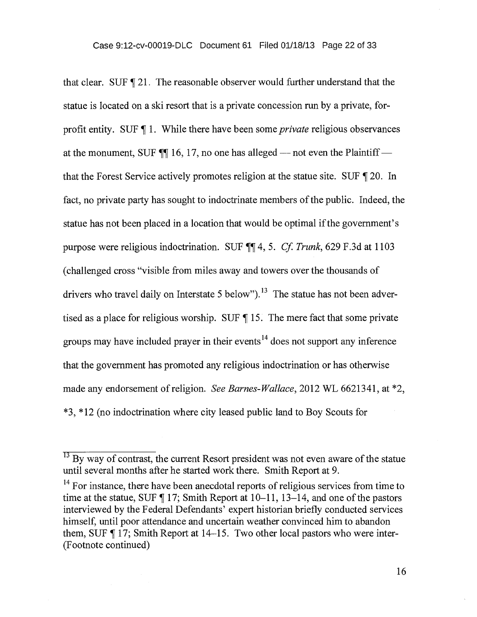that clear. SUF ¶ 21. The reasonable observer would further understand that the statue is located on a ski resort that is a private concession run by a private, forprofit entity. SUF ¶ 1. While there have been some *private* religious observances at the monument, SUF  $\P$  16, 17, no one has alleged — not even the Plaintiff that the Forest Service actively promotes religion at the statue site. SUF  $\P$  20. In fact, no private party has sought to indoctrinate members of the public. Indeed, the statue has not been placed in a location that would be optimal if the government's purpose were religious indoctrination. SUF ¶¶ 4, *5. Cf. Trunk,* 629 F.3d at 1103 (challenged cross "visible from miles away and towers over the thousands of drivers who travel daily on Interstate 5 below").<sup>13</sup> The statue has not been advertised as a place for religious worship. SUF  $\P$  15. The mere fact that some private groups may have included prayer in their events<sup>14</sup> does not support any inference that the government has promoted any religious indoctrination or has otherwise made any endorsement of religion. *See Barnes-Wallace,* 2012 WL 6621341, at \*2, \*3, \*12 (no indoctrination where city leased public land to Boy Scouts for

 $13$  By way of contrast, the current Resort president was not even aware of the statue until several months after he started work there. Smith Report at 9.

<sup>&</sup>lt;sup>14</sup> For instance, there have been anecdotal reports of religious services from time to time at the statue, SUF  $\P$  17; Smith Report at 10–11, 13–14, and one of the pastors interviewed by the Federal Defendants' expert historian briefly conducted services himself, until poor attendance and uncertain weather convinced him to abandon them, SUF ¶ 17; Smith Report at 14-15. Two other local pastors who were inter- (Footnote continued)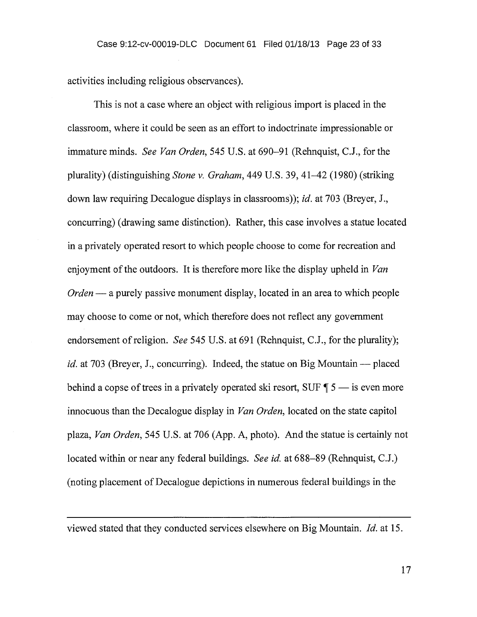activities including religious observances).

This is not a case where an object with religious import is placed in the classroom, where it could be seen as an effort to indoctrinate impressionable or immature minds. *See Van Orden,* 545 U.S. at 690-91 (Rehnquist, C.J., for the plurality) (distinguishing *Stone v. Graham,* 449 U.S. 39,41-42 (1980) (striking down law requiring Decalogue displays in classrooms)); *id.* at 703 (Breyer, J., concurring) (drawing same distinction). Rather, this case involves a statue located in a privately operated resort to which people choose to come for recreation and enjoyment of the outdoors. It is therefore more like the display upheld in *Van Orden* — a purely passive monument display, located in an area to which people may choose to come or not, which therefore does not reflect any government endorsement of religion. *See* 545 U.S. at 691 (Rehnquist, C.J., for the plurality); *id.* at 703 (Breyer, J., concurring). Indeed, the statue on Big Mountain — placed behind a copse of trees in a privately operated ski resort, SUF ¶ *5 —* is even more innocuous than the Decalogue display in *Van Orden,* located on the state capitol plaza, *Van Orden,* 545 U.S. at 706 (App. A, photo). And the statue is certainly not located within or near any federal buildings. *See id.* at 688-89 (Rehnquist, C.J.) (noting placement of Decalogue depictions in numerous federal buildings in the

viewed stated that they conducted services elsewhere on Big Mountain. *Id.* at 15.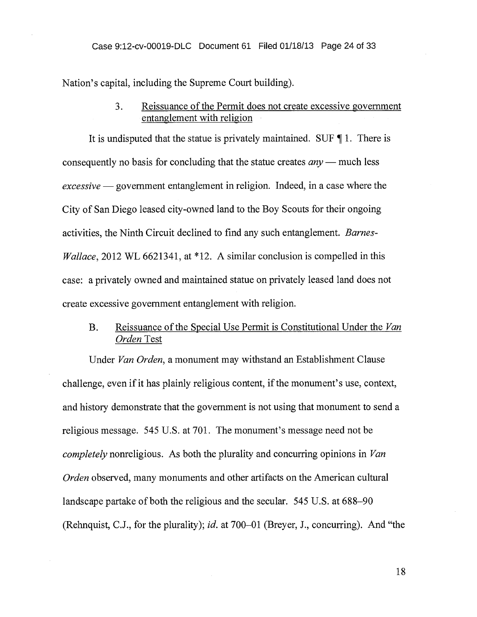Nation's capital, including the Supreme Court building).

## 3. Reissuance of the Permit does not create excessive government entanglement with religion

It is undisputed that the statue is privately maintained. SUF ¶ 1. There is consequently no basis for concluding that the statue creates *any —* much less *excessive —* government entanglement in religion. Indeed, in a case where the City of San Diego leased city-owned land to the Boy Scouts for their ongoing activities, the Ninth Circuit declined to find any such entanglement. *Barnes-Wallace,* 2012 WL 6621341, at \*12. A similar conclusion is compelled in this case: a privately owned and maintained statue on privately leased land does not create excessive government entanglement with religion.

## B. Reissuance of the Special Use Permit is Constitutional Under the *Van Orden* Test

Under *Van Orden,* a monument may withstand an Establishment Clause challenge, even if it has plainly religious content, if the monument's use, context, and history demonstrate that the government is not using that monument to send a religious message. 545 U.S. at 701. The monument's message need not be *completely* nonreligious. As both the plurality and concurring opinions in *Van Orden* observed, many monuments and other artifacts on the American cultural landscape partake of both the religious and the secular. 545 U.S. at 688-90 (Rehnquist, C.J., for the plurality); *id.* at 700-01 (Breyer, J., concurring). And "the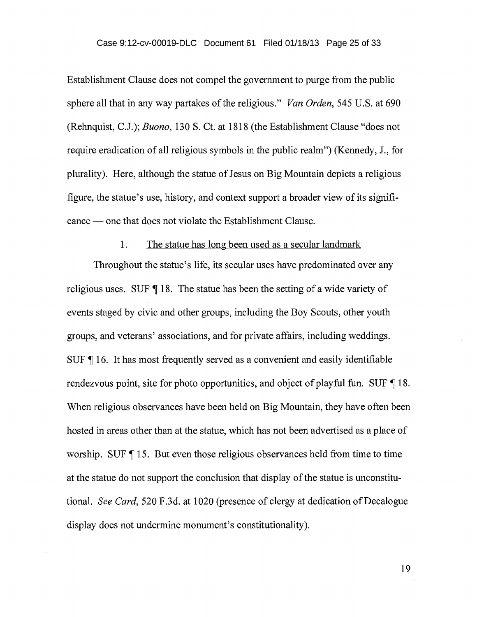Establishment Clause does not compel the government to purge from the public sphere all that in any way partakes of the religious." *Van Orden,* 545 U.S. at 690 (Rehnquist, C.J.); *Buono,* 130 S. Ct. at 1818 (the Establishment Clause "does not require eradication of all religious symbols in the public realm") (Kennedy, J., for plurality). Here, although the statue of Jesus on Big Mountain depicts a religious figure, the statue's use, history, and context support a broader view of its significance — one that does not violate the Establishment Clause.

#### 1. The statue has long been used as a secular landmark

Throughout the statue's life, its secular uses have predominated over any religious uses. SUF  $\P$  18. The statue has been the setting of a wide variety of events staged by civic and other groups, including the Boy Scouts, other youth groups, and veterans' associations, and for private affairs, including weddings. SUF ¶ 16. It has most frequently served as a convenient and easily identifiable rendezvous point, site for photo opportunities, and object of playful fun. SUF  $\P$  18. When religious observances have been held on Big Mountain, they have often been hosted in areas other than at the statue, which has not been advertised as a place of worship. SUF  $\P$  15. But even those religious observances held from time to time at the statue do not support the conclusion that display of the statue is unconstitutional. *See Card,* 520 F.3d. at 1020 (presence of clergy at dedication of Decalogue display does not undermine monument's constitutionality).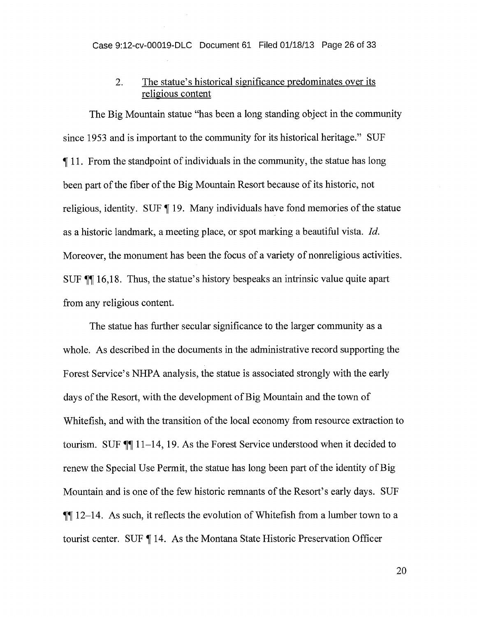## 2. The statue's historical significance predominates over its religious content

The Big Mountain statue "has been a long standing object in the community since 1953 and is important to the community for its historical heritage." SUF 11. From the standpoint of individuals in the community, the statue has long been part of the fiber of the Big Mountain Resort because of its historic, not religious, identity. SUF ¶ 19. Many individuals have fond memories of the statue as a historic landmark, a meeting place, or spot marking a beautiful vista. *Id.*  Moreover, the monument has been the focus of a variety of nonreligious activities. SUF ¶¶ 16,18. Thus, the statue's history bespeaks an intrinsic value quite apart from any religious content.

The statue has further secular significance to the larger community as a whole. As described in the documents in the administrative record supporting the Forest Service's NHPA analysis, the statue is associated strongly with the early days of the Resort, with the development of Big Mountain and the town of Whitefish, and with the transition of the local economy from resource extraction to tourism. SUF ¶¶ 11-14, 19. As the Forest Service understood when it decided to renew the Special Use Permit, the statue has long been part of the identity of Big Mountain and is one of the few historic remnants of the Resort's early days. SUF  $\P$ [ 12–14. As such, it reflects the evolution of Whitefish from a lumber town to a tourist center. SUF ¶ 14. As the Montana State Historic Preservation Officer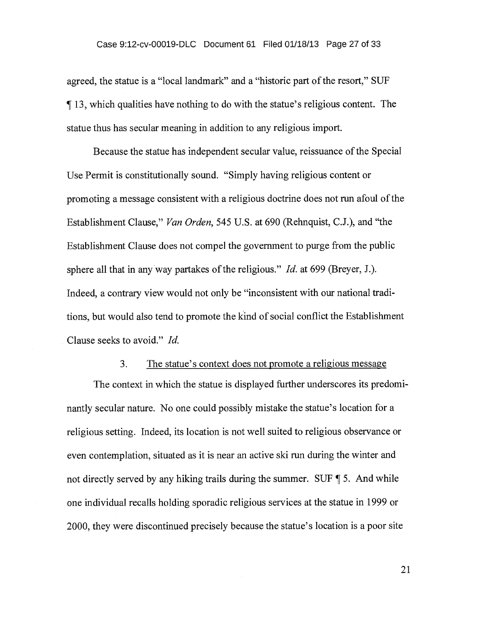agreed, the statue is a "local landmark" and a "historic part of the resort," SUF 1113, which qualities have nothing to do with the statue's religious content. The statue thus has secular meaning in addition to any religious import.

Because the statue has independent secular value, reissuance of the Special Use Permit is constitutionally sound. "Simply having religious content or promoting a message consistent with a religious doctrine does not run afoul of the Establishment Clause," *Van Orden,* 545 U.S. at 690 (Rehnquist, C.J.), and "the Establishment Clause does not compel the government to purge from the public sphere all that in any way partakes of the religious." *Id.* at 699 (Breyer, J.). Indeed, a contrary view would not only be "inconsistent with our national traditions, but would also tend to promote the kind of social conflict the Establishment Clause seeks to avoid." *Id.* 

#### 3. The statue's context does not promote a religious message

The context in which the statue is displayed further underscores its predominantly secular nature. No one could possibly mistake the statue's location for a religious setting. Indeed, its location is not well suited to religious observance or even contemplation, situated as it is near an active ski run during the winter and not directly served by any hiking trails during the summer. SUF ¶ 5. And while one individual recalls holding sporadic religious services at the statue in 1999 or 2000, they were discontinued precisely because the statue's location is a poor site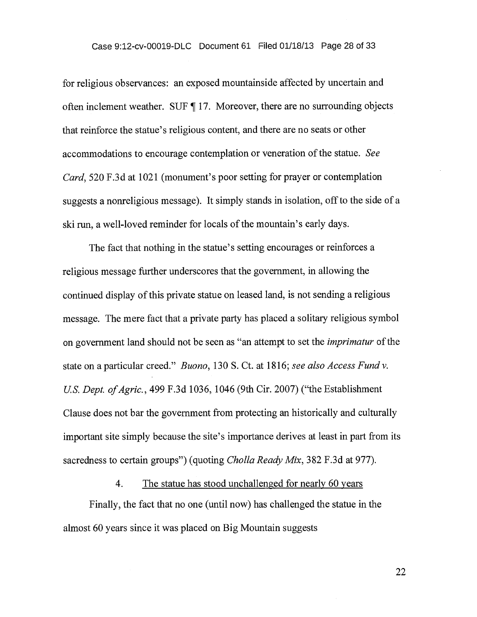for religious observances: an exposed mountainside affected by uncertain and often inclement weather. SUF ¶ 17. Moreover, there are no surrounding objects that reinforce the statue's religious content, and there are no seats or other accommodations to encourage contemplation or veneration of the statue. *See Card,* 520 F.3d at 1021 (monument's poor setting for prayer or contemplation suggests a nonreligious message). It simply stands in isolation, off to the side of a ski run, a well-loved reminder for locals of the mountain's early days.

The fact that nothing in the statue's setting encourages or reinforces a religious message further underscores that the government, in allowing the continued display of this private statue on leased land, is not sending a religious message. The mere fact that a private party has placed a solitary religious symbol on government land should not be seen as "an attempt to set the *imprimatur* of the state on a particular creed." *Buono,* 130 S. Ct. at 1816; *see also Access Fund v. U.S. Dept. of Agric.,* 499 F.3d 1036, 1046 (9th Cir. 2007) ("the Establishment Clause does not bar the government from protecting an historically and culturally important site simply because the site's importance derives at least in part from its sacredness to certain groups") (quoting *Cholla Ready Mix,* 382 F.3d at 977).

## 4. The statue has stood unchallenged for nearly 60 years

Finally, the fact that no one (until now) has challenged the statue in the almost 60 years since it was placed on Big Mountain suggests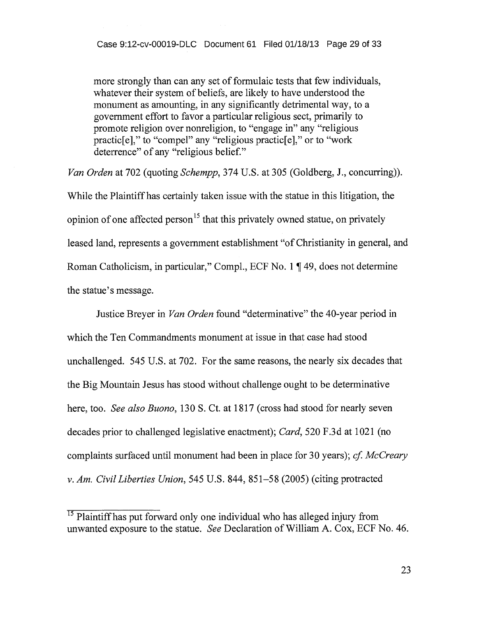more strongly than can any set of formulaic tests that few individuals, whatever their system of beliefs, are likely to have understood the monument as amounting, in any significantly detrimental way, to a government effort to favor a particular religious sect, primarily to promote religion over nonreligion, to "engage in" any "religious practic[e]," to "compel" any "religious practic[e]," or to "work deterrence" of any "religious belief."

*Van Orden* at 702 (quoting *Schempp,* 374 U.S. at 305 (Goldberg, J., concurring)). While the Plaintiff has certainly taken issue with the statue in this litigation, the opinion of one affected person<sup>15</sup> that this privately owned statue, on privately leased land, represents a government establishment "of Christianity in general, and Roman Catholicism, in particular," Compl., ECF No. 1 ¶ 49, does not determine the statue's message.

Justice Breyer in *Van Orden* found "determinative" the 40-year period in which the Ten Commandments monument at issue in that case had stood unchallenged. 545 U.S. at 702. For the same reasons, the nearly six decades that the Big Mountain Jesus has stood without challenge ought to be determinative here, too. *See also Buono,* 130 S. Ct. at 1817 (cross had stood for nearly seven decades prior to challenged legislative enactment); *Card,* 520 F.3d at 1021 (no complaints surfaced until monument had been in place for 30 years); *cf. McCreary v. Am. Civil Liberties Union,* 545 U.S. 844, 851-58 (2005) (citing protracted

 $\frac{15}{15}$  Plaintiff has put forward only one individual who has alleged injury from unwanted exposure to the statue. *See* Declaration of William A. Cox, ECF No. 46.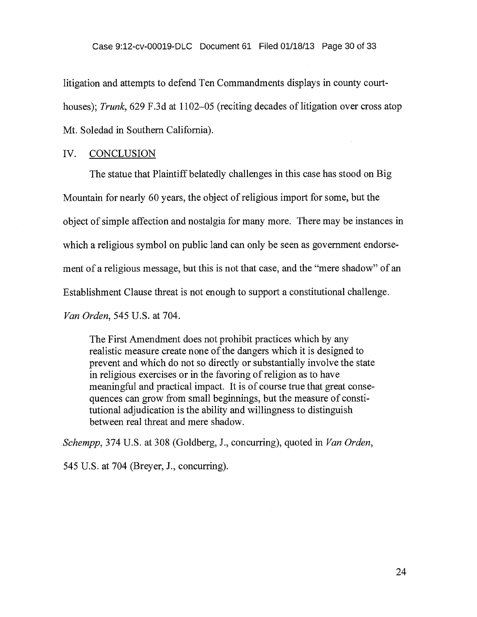litigation and attempts to defend Ten Commandments displays in county courthouses); *Trunk*, 629 F.3d at 1102–05 (reciting decades of litigation over cross atop Mt. Soledad in Southern California).

#### IV. CONCLUSION

The statue that Plaintiff belatedly challenges in this case has stood on Big Mountain for nearly 60 years, the object of religious import for some, but the object of simple affection and nostalgia for many more. There may be instances in which a religious symbol on public land can only be seen as government endorsement of a religious message, but this is not that case, and the "mere shadow" of an Establishment Clause threat is not enough to support a constitutional challenge. *Van Orden,* 545 U.S. at 704.

The First Amendment does not prohibit practices which by any realistic measure create none of the dangers which it is designed to prevent and which do not so directly or substantially involve the state in religious exercises or in the favoring of religion as to have meaningful and practical impact. It is of course true that great consequences can grow from small beginnings, but the measure of constitutional adjudication is the ability and willingness to distinguish between real threat and mere shadow.

*Schempp,* 374 U.S. at 308 (Goldberg, J., concurring), quoted in *Van Orden,* 

545 U.S. at 704 (Breyer, J., concurring).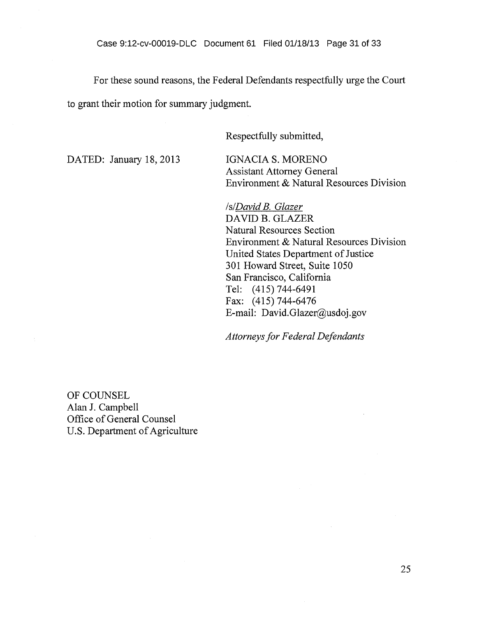For these sound reasons, the Federal Defendants respectfully urge the Court

to grant their motion for summary judgment.

Respectfully submitted,

DATED: January 18, 2013 IGNACIA S. MORENO

Assistant Attorney General Environment & Natural Resources Division

*is/David B. Glazer*  DAVID B. GLAZER Natural Resources Section Environment & Natural Resources Division United States Department of Justice 301 Howard Street, Suite 1050 San Francisco, California Tel: (415) 744-6491 Fax: (415) 744-6476 E-mail: David.Glazer@usdoj.gov

*Attorneys for Federal Defendants* 

OF COUNSEL Alan J. Campbell Office of General Counsel U.S. Department of Agriculture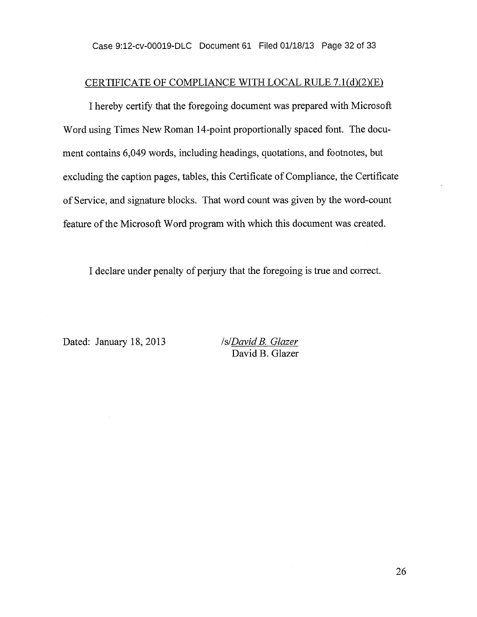## CERTIFICATE OF COMPLIANCE WITH LOCAL RULE 7.1(d)(2)(E)

I hereby certify that the foregoing document was prepared with Microsoft Word using Times New Roman 14-point proportionally spaced font. The document contains 6,049 words, including headings, quotations, and footnotes, but excluding the caption pages, tables, this Certificate of Compliance, the Certificate of Service, and signature blocks. That word count was given by the word-count feature of the Microsoft Word program with which this document was created.

I declare under penalty of perjury that the foregoing is true and correct.

Dated: January 18, 2013 /s/*David B. Glazer* 

David B. Glazer